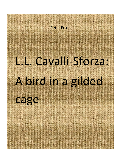

## L. L. Cavalli-Sforza:

# A bird in a gilded

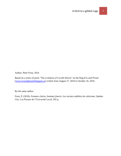Author: Peter Frost, 2014

Based on a series of posts "The evolution of Cavalli-Sforza" on the blog *Evo and Proud* [\(www.evoandproud.blogspot.ca\)](http://www.evoandproud.blogspot.ca/) written from August 27, 2010 to October 16, 2010.

By the same author:

Frost, P. (2010). *Femmes claires, hommes foncés. Les racines oubliées du colorisme*, Quebec City: Les Presses de l'Université Laval, 202 p.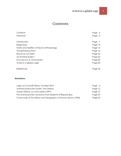

## **Contents**

| Contents                                    | Page 3    |
|---------------------------------------------|-----------|
| Foreword                                    | Page<br>4 |
| Introduction                                | Page 7    |
| <b>Beginnings</b>                           | Page 10   |
| Myths and realities of Fascist anthropology | Page 13   |
| The gathering storm                         | Page 16   |
| Races do not exist!                         | Page 20   |
| An ill-fated project                        | Page 25   |
| Success but at what price?                  | Page 30   |
| A bird in a gilded cage                     | Page 34   |
| References                                  | Page 36   |
|                                             |           |

#### *Illustrations*

| Luigi Luca Cavalli-Sforza, October 2010                      | Page 6  |
|--------------------------------------------------------------|---------|
| Anthrax production facility, Fort Detrick                    | Page 12 |
| Guido Orefice, La vita è bella (1997)                        | Page 15 |
| Pins and brooches carved by Inuit residents of Repulse Bay   | Page 29 |
| Cover map of The History and Geography of Human Genes (1994) | Page 33 |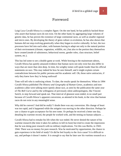## Foreword

Luigi Luca Cavalli-Sforza is a complex figure. On the one hand, he has publicly backed those who assert that human races do not exist. On the other hand, by aggregating large volumes of genetic data, he has proven the existence of large continental races, as well as smaller regional and micro ones. By developing the theory of gene-culture co-evolution, he has also shown that humans did not stop evolving genetically when they began to evolve culturally. In fact, the two processes have fed into each other, with humans having to adapt not only to the natural portion of their environment (climate, vegetation, wildlife, etc.) but also to the portion they themselves have created (mode of subsistence, behavioral norms, gender roles, class structure, belief system, etc.).

This has led some to see a double game at work. While bowing to the mainstream taboos, Cavalli-Sforza has quietly amassed evidence that human races not only exist but also differ in ways that are more than skin deep. In time, his weighty tomes will speak louder than his official statements on race. This may indeed be how he sees himself, and it might explain certain contradictions between his public persona and his academic self. Oh, those naïve antiracists, if only they knew how they're being outfoxed!

Time will tell who is outfoxing whom. To date, the results speak for themselves. When in 1994 Cavalli-Sforza published *The History and Geography of Human Genes*, academics and nonacademics alike were talking more openly about race, as seen by the publication the same year of *The Bell Curve* and by the willingness of previously silent anthropologists, like Vincent Sarich, to step forward and speak out. That interval of glasnost soon ended, in no small part because of Cavalli-Sforza's apparent conversion, as attested in his book, to the view that human races do not exist in any meaningful sense.

Why did he convert? And did he really? I doubt there was any conversion. His change of heart was too rapid, and it happened while the zeitgeist was moving in the other direction. Perhaps he saw a chance to gain acceptance for his new tome. Or perhaps he received a letter one day, detailing his wartime record, the people he worked with, and the testing on human subjects …

Cavalli-Sforza had to remake his life when the war ended. He never denied the nature of his wartime research (the time it takes for anthrax to kill its host) but tried to create the impression that he was doing pure research with no military implications. Yet this was Berlin, in 1943- 1944. There was no money for pure research. Was he motivated by opportunism, the chance to gain experience in his field of study? Or did he feel loyalty to the Axis cause? It is difficult to say, and perhaps it doesn't matter. It is enough to say that he later saw his wartime research as a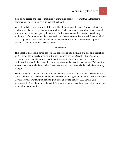stain on his record and tried to minimize it as much as possible. He was thus vulnerable to blackmail, or rather to his chronic fear of blackmail.

We will probably never know the full story. One thing is sure. If Cavalli-Sforza is playing a double game, he has been playing it far too long. Such a strategy is excusable for an academic who is young, untenured, poorly known, and far from retirement, but these excuses hardly apply to a professor emeritus like Cavalli-Sforza. The time is overdue to speak frankly and, if need be, pay the price. Anyway, what else can he do now with his vast reserves of public esteem? Take it with him to the next world?

\*\*\*\*\*\*\*\*\*\*\*\*

This ebook is based on a series of posts that appeared on my blog *Evo and Proud* in the fall of 2010. I wrote them largely because of the gap I noticed between Cavalli-Sforza's public pronouncements and his more academic writings, particularly those on gene-culture coevolution. I was particularly appalled by his musings on the need to "ban racism." When things are not what they are believed to be, the answer is not to ban those who fail to believe strongly enough.

There are few real secrets in this world, but some information sources are less accessible than others. In this case, I was able to draw on sources that are largely unknown to North Americans: Cavalli-Sforza's wartime publications (published under the name of L.L. Cavalli), his autobiography (issued only in Italian and French), and my personal knowledge of his project on gene-culture co-evolution.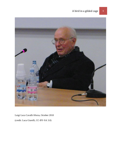



Luigi Luca Cavalli-Sforza, October 2010 (credit: Luca Giarelli, CC-BY-SA 3.0)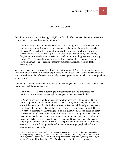### Introduction

In an interview with *Human Biology*, Luigi Luca Cavalli-Sforza voiced his concerns over the growing rift between anthropology and biology:

Unfortunately, at least in the United States, anthropology is in decline: The cultural moiety is separating from the rest and loves to declare that it is not science—what is it, instead? The rest of the U.S. anthropology departments (variable according to places, but mostly a mixture of physical anthropology, primatology, archaeology, linguistics) fortunately seem to resist this trend, but anthropology seems to be losing ground. There is a need for a new anthropology capable of keeping unity, and to develop human science curricula that may promote an original, fresh outlook. (Manni, 2010)

Why this retreat from biology? Ask almost any anthropologist. You will be told that genetic traits vary much more within human populations than between them, yet the pattern reverses with cultural traits: the differences are mainly between populations. So what can biology tell us about culture?

And you will learn that this view is endorsed by leading geneticists, like Cavalli-Sforza. One has only to read the same interview:

Don't you feel that results pointing to intracontinental genetic differences can reinforce racist theories, as some pharmacogenomic studies recently did?

LLCS: The between-population genetic variation observed with 650,000 SNPs on the 52 populations of the HGDP is 11% (Li et al. 2008) with a very small standard error. It becomes 16% for the X chromosome, as is expected if nearly all the genetic variation is due to drift—that is, the role of natural selection is very limited. The ca. 30-year-old estimate by Lewontin (1972) of this quantity (15%) was based on other markers and populations and was a reason to encourage banning the use of the word race in humans. In any case the new value is even more supportive of dropping the word race. What we really need to ban is racism, and this is not a socially easy-todo program. Charles Darwin, already, was skeptical about the usefulness of the race concept in humans, having noted that human variation is geographically almost continuous for most traits.

Man has been studied more carefully than any other animal, and yet there is the greatest possible diversity amongst capable judges whether he should be classed as a single species or race, or as two (Virey), as three (Jacquinot), as four (Kant), five (Blumenbach), six (Buffon), seven (Hunter), eight (Agassiz), eleven (Pickering), fifteen (Bory St. Vincent), sixteen (Desmoulins), twenty-two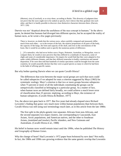(Morton), sixty (Crawfurd), or as sixty-three, according to Burke. This diversity of judgment does not prove that the races ought not to be ranked as species, but it shows that they graduate into each other, and that it is hardly possible to discover clear distinctive characters between them. (Darwin, 1871: 226)

Darwin was not "skeptical about the usefulness of the race concept in humans." In the above quote, he denied that humans had diverged into different species, but he accepted the reality of human races, as he wrote a few pages previously:

There is, however, no doubt that the various races, when carefully compared and measured, differ much from each other,—as in the texture of the hair, the relative proportions of all parts of the body, the capacity of the lungs, the form and capacity of the skull, and even in the convolutions of the brain. But it would be an endless task to specify the numerous points of difference.

[...] If a naturalist, who had never before seen a Negro, Hottentot, Australian, or Mongolian, were to compare them, he would at once perceive that they differed in a multitude of characters, some of slight and some of considerable importance. On enquiry he would find that they were adapted to live under widely different climates, and that they differed somewhat in bodily constitution and mental disposition. If he were then told that hundreds of similar specimens could be brought from the same countries, he would assuredly declare that they were as good species as many to which he had been in the habit of affixing specific names.

But why bother quoting Darwin when we can quote Cavalli-Sforza?

The differences that exist between the major racial groups are such that races could be called subspecies if we adopted for man a criterion suggested by Mayr (1963) for systematic zoology. Mayr's criterion is that two or more groups become subspecies when 75 percent or more of all the individuals constituting the groups can be unequivocally classified as belonging to a particular group. As a matter of fact, when human races are defined fairly broadly, we could achieve a much lower error of classification than 25 percent, implying, according to Mayr, the existence of human subspecies. (Cavalli-Sforza & Bodmer, 1977)

Yes, the above text goes back to 1977. But five years had already elapsed since Richard Lewontin's finding that genes vary much more within human populations than between them. Cavalli-Sforza was still using race terminology much later, as in this article from the late 1980s:

The first split in the phylo-genetic tree separates Africans from non-Africans, and the second separates two major clusters, one corresponding to Caucasoids, East Asians, Arctic populations, and American natives, and the other to Southeast Asians, (mainland and insular), Pacific islanders, and New Guineans and Australians. (Cavalli-Sforza et al., 1988)

His belief in human races would remain intact until the 1990s, when he published *The History and Geography of Human Genes*.

Why the change of heart? Had Lewontin's 1972 paper been bolstered by new data? Not really. In fact, the 1980s and 1990s saw growing evidence that the same genetic overlap that Lewontin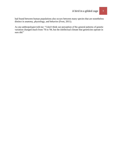had found between human populations also occurs between many species that are nonetheless distinct in anatomy, physiology, and behavior (Frost, 2011).

As one anthropologist told me: "I don't think our perception of the general patterns of genetic variation changed much from '76 to '94, but the intellectual climate that geneticists operate in sure did."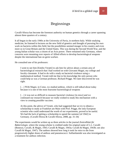## Beginnings

Cavalli-Sforza has become the foremost authority on human genetics through a career spanning almost three quarters of a century.

It all began in the early 1940s at the University of Pavia, in northern Italy. While studying medicine, he listened to lectures on the new field of genetics and thought of pursuing his own work on bacteria within this field, but the possibilities seemed meager in his country and even more so in Great Britain and the United States. This was during the Second World War, and the young Italian scholar was a citizen of an Axis power. There remained only Germany, where concerns were mounting over reports of Allied efforts to develop bacteriological weapons despite the international ban on germ warfare.

He consulted one of his professors:

I went to see him [Emilio Veratti] to ask him for advice about a certain area of bacteriological research that I had worked on with Giovanni Magni, my college and faculty classmate. It had to do with a study on bacterial virulence using a mathematical method. Veratti told me that to his knowledge the only person who could help us was a German professor, Richard Prigge. We later discovered he was right.

[...] With Magni, in Como, we studied anthrax, which is still talked about today because it is one of the most fearsome bacteriological weapons

[…] it was not so difficult to measure bacterial virulence [in mice] and we continued our research because we really wished to study this mechanism with a view to creating possible vaccines.

At this point, the advice of Veratti, who had suggested that we try to obtain a scholarship to study at Frankfurt am Main with Prof. Prigge, the only European scientist who could understand the worth of our experiments, proved to be useful. We had the luck of getting a scholarship to spend the summer [of 1942] in Germany. (Cavalli-Sforza & Cavalli-Sforza, 2008, pp. 31-34)

The experiments would be written up as three articles in the journal *Zentralblatt für Bakteriologie*, where the young scholar is credited under his original name of L.L. Cavalli (Bonezzi, Cavalli, & Magni, 1943; Cavalli & Magni, 1943a; Cavalli & Magni, 1943b; see also Cavalli & Magni, 1947). The authors showed how long it took for mice to die from progressively higher doses of anthrax and pneumococci. Sulfanilamide was also investigated as a treatment for anthrax infection.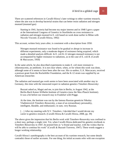There are scattered references in Cavalli-Sforza's later writings to other wartime research, where the aim was to develop bacterial strains that can better resist radiation and nitrogen mustard (mustard gas):

Starting in 1941, bacteria had become my major interest and in 1948 I gave a paper at the International Congress of Genetics in Stockholm on cross resistance to radiation and nitrogen mustard in E. coli based on work done earlier in Milan with Niccolo Visconti. (Cavalli-Sforza, 1992)

This account, written forty years after, is consistent with a description from 1950:

Nitrogen mustard resistance was found to be gradual or abrupt in increase in different experiments, only a moderate degree of resistance being acquired, which made a detailed analysis difficult. In E. coli K-12 nitrogen mustard resistance is not accompanied by higher resistance to radiations, as in the case of E. coli B. (Cavalli & Maccacaro, 1950)

In the same article, he also described experiments to make *E. coli* more resistant to chloromycetin, an antibiotic. It is not clear where, when, or for whom this work was done, although some of it seems to have been after the war. His co-author, G.A. Maccacaro, received a postwar grant from the Rockefeller Foundation, and the K-12 strain was supplied by an American researcher.

The radiation and mustard gas work seems to have been associated with another stay in Germany, this time with the renowned expert in radiation genetics Timofeev-Ressovsky:

Buzzati asked us, Magni and me, to join him in Berlin, in August 1942, at the Berlin-Buch Kaiser-Wilhelm Institute of Genetics (now the Max-Planck Institute). It was a bit before our research stay in Frankfurt with Prigge.

At the time, the Institute was run by the famous Russian geneticist Nikolay Vladimirovich Timofeev-Ressovsky, a man of an extraordinary personality, intelligent, likeable, and enthusiastic; in sum, very Russian.

[...] After my meeting with N.V. Timofeev, I decided that I would devote my career to genetics research. (Cavalli-Sforza & Cavalli-Sforza, 2008, pp. 39)

The above gives the impression that his Berlin work with Timofeev-Ressovsky was confined to a short stay, perhaps a single visit. Yet, when Cavalli-Sforza dedicated his genetics textbook to Timofeev-Ressovsky in 1947, he praised him as "a friend and teacher, with the wishes that he will be able to continue his work" (Cavalli & Buzzati-Traverso, 1947). These words suggest a longer working relationship.

Cavalli-Sforza's autobiography is the best account of his wartime research, but some details contradict those of earlier accounts. For one thing, his initial accounts refer with one exception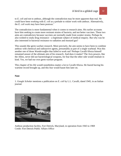to *E. coli* and not to anthrax, although the contradiction may be more apparent than real. He could have been working with *E. coli* as a prelude to riskier work with anthrax. Alternatively, the *E. coli* work may have been postwar.<sup>1</sup>

The contradiction is more fundamental when it comes to research aims. His earlier accounts have him seeking to create more resistant strains of bacteria, and not better vaccines. These two aims are contradictory because vaccines are normally made from weaker strains. Perhaps he also wished to study drug resistance—a legitimate subject of medical enquiry. But why was he also interested in bacterial resistance to radiation and mustard gas?

This sounds like germ warfare research. More precisely, the aim seems to have been to combine anthrax with chemical and radioactive agents, presumably as part of a single warhead. Was this another one of those *Wunderwaffen* that failed to work out? Perhaps Cavalli-Sforza himself remained unsure of the ultimate aim of his research. And does it matter? The Axis powers, like the Allies, never did use bacteriological weapons, for fear that the other side would retaliate in kind. Yes, we had our own germ warfare program.

This chapter of his life would nonetheless matter a lot to Cavalli-Sforza. He feared having his wartime record brought up, and this fear would haunt him later on.

#### **Note**

1. *Google Scholar* mentions a publication on *E. coli* by L.L. Cavalli, dated 1945, in an Italian journal.



Anthrax production facility, Fort Detrick, Maryland, in operation from 1943 to 1969 Credit: Fort Detrick Public Affairs Office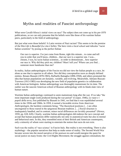## Myths and realities of Fascist anthropology

What were Cavalli-Sforza's initial views on race? The subject does not come up in his pre-1970 publications, so we can only presume that his beliefs were like those of his wartime Italian peers, particularly in the field of anthropology.

But just what were those beliefs? A Latin version of Nazi racism? This seems to be the premise of the film *Life is Beautiful* (*La vita è bella*). The hero visits a local school and ridicules "racist Italian scientists" by posing as the perfect Italian:

Our race is superior. I've just come from Rome, right this minute... to come and tell you in order that you'll know, children... that our race is a superior one. I was... chosen, I was, by racist Italian scientists... in order to demonstrate... how superior our race is. Why did they pick me, children? Must I tell you? Where can you find… someone more handsome than me?

In reality, Italian anthropologists of the Fascist era did not view the Italian people as a race, let alone as one that is superior to all others. Nor did they conceptualize races as sharply defined entities. Renato Biasutti (1878-1965), Raffaello Battaglia (1896-1958), and others promoted the idea that human populations are dynamic, variable, and evolving. Meanwhile, Adriano Buzzati-Traverso (1913-1983) was developing the new field of population genetics in collaboration with American biologists. Italian anthropology was thoroughly mainstream for its time. The outlier was the nascent American school of Boasian anthropology with its blank-slate view of human nature.

Wartime Italian anthropology continued to seem mainstream long after the war. If we take "the most important single work produced during the war period" (Cooper, 1946), *Le razze e i popoli della terra*, first published by Biasutti in 1941, we find that it was republished several times in the 1950s and 1960s. In 1959, it earned a favorable review from *American Anthropologist*, the harshest comments being: "The theoretical positions […] are often uncongenial to those reared in the epigonous Boasian tradition. […] Social structure is inadequately handled, and in contrast, minor racial differences are lavishly presented" (Hewes, 1959, pp. 618, 620). Clearly, wartime Italian anthropologists did endorse the race concept and accept that human populations differ statistically not only in anatomical traits but also in mental and behavioral ones. In this, they resembled most of their British and American counterparts, only a minority of whom were starting to entertain the notion that races do not exist.

Such was the reality of 'race science' in Fascist Italy. But reality is not everything. There is also mythology—the popular narratives that help us make sense of reality. The Second World War became woven into the moral narrative of the postwar era and would energize the quest for social justice on many fronts: the Civil Rights Movement; the struggle against colonialism; the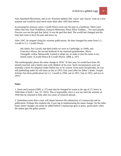Anti-Apartheid Movement; and so on. Wartime epithets like 'racist' and 'fascist' took on a new purpose and would be used much more often after 1945 than before.

In pursuing his postwar career, Cavalli-Sforza soon saw his past as a handicap. There were others like him: Kurt Waldheim, François Mitterand, Pierre Elliot Trudeau ... For such people, Fascism was not the god that failed. It was the god that died. The world had changed and the time had come to bury the past and move on.

After 1947, he stopped citing his wartime publications. He then changed his name from L.L. Cavalli to L.L. Cavalli-Sforza:

My father, Pio Cavalli, had died (while we were at Cambridge, in 1949), and Francesco Sforza, the second husband of my maternal grandmother, Maria Fumagalli, widow Manacorda, wanted to adopt me, in order to join his name to my family name. (Cavalli-Sforza & Cavalli-Sforza, 2008, p. 107)

The autobiography places the name change in  $1950<sup>1</sup>$  In that year, he would have been 28, already married, and a family man with children of his own. Such circumstances were not normally a basis for adoption under Italian law or by custom. Even more inexplicably, he was still publishing under his old name as late as 1953, four years after his father's death. *Google Scholar* lists three publications by L.L. Cavalli in 1950, one in 1951, four in 1952, and two in 1953. 2

#### **Notes**

1. Stone and Lurquin (2005, p. 27) state that he changed his name at the age of 27, hence in 1949 (date of birth = Jan. 25, 1922). This is impossible, since it was not until the summer of 1950 that he returned to Italy after two years of research abroad.

2. Sometimes more than a year will elapse between the submission of a manuscript and its publication. Perhaps this explains the 3-year lag in implementing his name change. On the other hand, minor changes can easily be added before a manuscript goes to press, particularly when the author gets the galley proofs.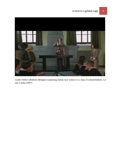

Guido Orefice (Roberto Benigni) explaining Italian race science to a class of schoolchildren. *La vita è bella* (1997)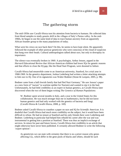## The gathering storm

The mid-1950s saw Cavalli-Sforza turn his attention from bacteria to humans. He collected data from blood samples to study genetic drift in the villages of Italy's Parma valley. In the mid-1960s, he began to use the same kind of data to trace human ancestry from an apparently African founder group to the many populations of today.

What were his views on race back then? On this, he seems to have kept silent. He apparently followed the example of other postwar geneticists who were conscious of the cloud of suspicion that hung over their heads. Cultural anthropologists talked about race, but only to downplay its importance.

The silence was eventually broken in 1969. A psychologist, Arthur Jensen, argued in the *Harvard Educational Review* that African-American children had lower IQs for genetic reasons and that efforts to close the IQ gap, like the Head Start Program, were doomed to failure.

Cavalli-Sforza had meanwhile come to an American university, Stanford, for a trial year in 1968-1969. In the genetics department, Joshua Lederberg had written a letter attacking attempts to link race to IQ. One of its signatories was Walter Bodmer (Stone & Lurquin, 2005, p. 98).

Bodmer came from a half-Jewish family that had fled Nazi Germany.<sup>1</sup> He saw Jensen's paper as a new form of "racism" (a wartime epithet for Nazism) and wanted to nip it in the bud. Unfortunately, he had little credibility as an expert in human genetics, as Cavalli-Sforza later discovered when the two of them began writing *The Genetics of Human Populations*:

W. Bodmer spent several months in Italy, and a year in the United States for this collaboration. He was much stronger than me in mathematics, but he did not know human genetics and had only worked with the genetics of bacteria and fungi. (Cavalli-Sforza & Cavalli-Sforza, 2008, p. 169)

Bodmer asked Cavalli-Sforza to coauthor a paper on race and IQ for *Scientific American*. It is doubtful that Cavalli-Sforza had much more credibility on the subject, but it would have been difficult to refuse. He had no tenure at Stanford and his only friends there were Lederberg and Bodmer. Lederberg in particular had helped him rebuild his career after the war and was instrumental in getting him a position at Stanford. There was thus an implicit exchange of services. In return for past and future favors, Cavalli-Sforza lent credibility to an article that might otherwise have never been published. It certainly allowed Bodmer to write the following 'expert opinion':

As geneticists we can state with certainty that there is no a priori reason why genes affecting I.Q., which differ in the gene pools of blacks and whites, should be such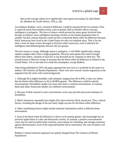that on the average whites have significantly more genes increasing I.Q. than blacks do. (Bodmer & Cavalli-Sforza, 1970, p. 28)

According to Bodmer, such a statistical difference would be unexpected for two reasons. First, it could not result from random events, such as genetic drift or founder effects, because intelligence is polygenic. The laws of chance would prevent the many genes involved from having, on balance, more intelligence-boosting variants in one human population than in another. Second, natural selection could not have created the black-white IQ difference because black Americans have lived in the United States for only two hundred years. This is far too short a time for them to have diverged in IQ from white Americans, even if selection for intelligence had differed greatly between the two groups.

The first reason is wrong. Although stature is polygenic, it will differ significantly among random samples taken from a single population. Because some genes have much stronger effects than others, variation at such loci is not drowned out by variation at other loci. The second reason is likewise wrong. It assumes that the black-white IQ difference is limited to the United States. Yet no one had ever made this assumption, except Bodmer.

After being published in 1970, the paper appeared the next year in a textbook by the same two authors, *The Genetics of Human Populations*. There were now several counter-arguments to the argument that IQ varies with racial background:

1. Although IQ is highly heritable, with estimates ranging from 40 to 80%, it does not follow that the black-white difference in IQ is 40-80% genetic. The difference could be entirely environmental. Heritability studies use twins who share a common environment. In contrast, black and white Americans inhabit very different environments.

2. Because of their unusual *in utero* environment, twins may provide inaccurate estimates of heritability.

3. Black Americans reportedly have higher IQs when tested by black Americans. Thus, cultural factors, including the design of the test itself, might account for the black-white difference.

4. Other contributing factors might include maternal malnutrition and/or a deficient home environment.

5. Even if the black-white IQ difference is shown to be mainly genetic, this knowledge has no practical applications in a free and democratic society. In contrast, a putative environmental cause may be used to justify better nutrition, more money for schooling, and stronger measures against discrimination. Even if the expected benefits fail to materialize, the costs of failure will be minor.

Bodmer's natural selection argument was quietly dropped from *The Genetics of Human Populations*.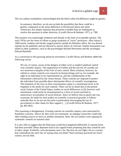The two authors nonetheless acknowledged that the black-white IQ difference might be genetic:

In summary, therefore, we do not exclude the possibility that there could be a genetic component to the mean difference in IQ between black and white Americans, but simply maintain that presently available data are inadequate to resolve this question in either direction. (Cavalli-Sforza & Bodmer, 1971, p. 799)

This position was surprisingly moderate and already at the limit of acceptable opinion. The early 1970s saw the onset of efforts to purge academia of "racist" professors. After Jensen's 1969 article, students and faculty staged protests outside his Berkeley office. He was denied reprints by his publisher and not allowed to answer letters of criticism. Similar harassment was aimed at other academics, such as the psychologist Richard Herrnstein and the sociologist Edward Banfield.

As a concession to this growing antiracist movement, Cavalli-Sforza and Bodmer added the following caveat:

We are, of course, aware of the dangers of either overt or implicit political control over scientific inquiry. The suppression of Galileo and the success of Lysenko are two notorious examples of the evils of such control. Most scientists, however, do submit to certain controls over research on human beings such as, for example, the right of an individual to be experimented on, and the confidentiality of the information collected by the census bureau. These controls are imposed to protect the individual from possible direct detrimental effects of scientific investigations. The treatment of the Jews in Nazi concentration camps is a testimonial never to be forgotten to the needs for such controls. There can be no doubt that in the present racial climate of the United States, studies on racial differences in IQ, however well intentioned, could easily be misinterpreted as a form of racism and lead to unnecessary accentuation of racial tensions. Since we believe that no good case can, at present, be made for such studies on scientific or practical grounds, it follows naturally that we do not see the point in particularly encouraging the use of government or other funds for their support […] (Cavalli-Sforza & Bodmer, 1977, pp. 801-802)

This reasoning is disingenuous. Existing controls on scientific enquiry were motivated by feasibility concerns. Above all, they were not systematic; an unhappy researcher could seek other funding sources or move to another institution. Here, the two authors were arguing for systematic controls on research aims.

It is also silly to suggest that the Holocaust would have happened differently if consent forms had been provided. Many deportees had in fact signed forms promising that they would be sent to labor camps. Evidently, such documents were a lie. But how do you fight a lie in a society that criminalizes the mere fact of saying what you think? Nazi Germany practiced too much control, not too little.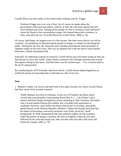Cavalli-Sforza saw this reality at first hand while working with Dr. Prigge:

Professor Prigge was in no way a Nazi, but of course we spoke about the government with much precaution, whereas in Italy the criticisms against fascism were frequent and overt. Among all the people we met in Germany, none had heard about the Shoah or the concentration camps. We learned about their existence, in Italy, only after the war. (Cavalli-Sforza & Cavalli-Sforza, 2008, p. 35)

Of course, bad things can happen even in a free society. But their worst effects can still be curtailed—by protesting, by denouncing the people in charge, or simply by informing the public. During the last war, the American and Canadian governments interned people of Japanese origin on the west coast. This was an injustice but it did not lead to mass murder. Elsewhere, similar internments did.

Ironically, by endorsing controls on research, Cavalli-Sforza may have been acting on fears he had learned in a less free world. Today Jensen, tomorrow me? Perhaps someone had warned him against sitting on the fence. And then there was his wartime past ... Yes, a fearful mind is the devil's playground.

By coauthoring the 1970 *Scientific American* article, Cavalli-Sforza helped legitimize an unofficial system of censorship that would take on a life of its own.

#### **Note**

1. Bodmer's father was Jewish and had lived in the same German city where Cavalli-Sforza had done much of his wartime research:

Walter Bodmer was born in Germany, in the city of Frankfurt am Main which Cavalli had coincidentally visited during World War II. […] Sir Walter's early infancy had been deeply disrupted by events unfolding in Nazi Germany. His father was a Jewish medical doctor (his mother was a Gentile) with aspirations to academia. However, years before the Nazis took power in Germany, during the period known as the Weimar Republic, Bodmer's father had already been told that his hopes of becoming a university professor were futile, given his "racial" background. In 1938, threatened by the Nazi political regime, he left Germany under the pretext of taking a vacation. He went to England, where he was soon followed by his wife and young son, who was then only two and a half years old. (Stone & Lurquin, 2005, p. 79)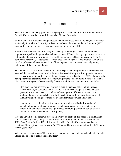## Races do not exist!

The early 1970s saw two papers move the goalposts on race: one by Walter Bodmer and L.L. Cavalli-Sforza, the other by a third geneticist, Richard Lewontin.

Bodmer and Cavalli-Sforza (1970) conceded that human races exist while denying they differ statistically in intellectual capacity, at least on the basis of current evidence. Lewontin (1972) took a different tact: human races do not exist. No races, no race differences.

He came to this conclusion after analyzing the way different genes vary among human populations, specifically genes whose alleles produce different blood groups, serum proteins, or red blood cell enzymes. Surprisingly, he could explain only 6.3% of this variation by large continental races (i.e., 'Caucasoids', 'Mongoloids', and 'Negroids') and another 8.3% by subracial populations. The rest—over 85% of human genetic variation—existed only among individuals of the same population.

This pattern had been known for some time with respect to blood groups. But researchers had assumed that some kind of balanced polymorphism was inflating within-population variation, perhaps as a way to hinder the spread of contagious diseases.<sup>1</sup> By the early 1970s, however, the same pattern was appearing with other 'structural proteins.' The building blocks of flesh and blood were turning out to be remarkably the same in all humans. As Lewontin concluded:

It is clear that our perception of relatively large differences between human races and subgroups, as compared to the variation within these groups, is indeed a biased perception and that, based on randomly chosen genetic differences, human races and populations are remarkably similar to teach other, with the largest part by far of human variation being accounted for by the differences between individuals.

Human racial classification is of no social value and is positively destructive of social and human relations. Since such racial classification is now seen to be of virtually no genetic or taxonomic significance either, no justification can be offered for its continuance. (Lewontin, 1972, p. 397)

How did Cavalli-Sforza react? In a recent interview, he spoke of this paper as a landmark in human genetics (Manni, 2010). Yet his reaction was initially one of silence. From 1972 to 1989, *Google Scholar* lists 426 publications for which Cavalli-Sforza was an author or coauthor.<sup>2</sup> None of them cited Lewontin's 1972 paper. He first commented on it in 1993, some twenty years after.<sup>3</sup>

Why the two-decade silence? If Lewontin's paper had been such a landmark, why did Cavalli-Sforza take so long to acknowledge this fact?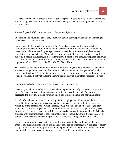It is hard to enter a silent person's mind. A better approach would be to ask whether there were arguments against Lewontin's finding, or rather the way he spun it. Such arguments usually take three forms:

#### *1. A small genetic difference can make a big cultural difference*

Even if human populations differ only slightly in certain genetic predispositions, these slight differences can have big effects.

For instance, the historical economist Gregory Clark has argued that the slow but steady demographic expansion of the English middle class from the 12th century onward gradually raised the population mean for predispositions to non-violence, deferment of pleasure, and other future-oriented behavior. Although the embryonic middle class was initially a small minority in medieval England, its descendants grew in number and gradually replaced the lower class through downward mobility. By the 1800s, its lineages accounted for most of the English population (Clark, 2007, pp. 124-129, 182-183; Clark, 2009).

The 1800s also saw the triumph of Victorian morality in England. This triumph was due not to a massive change in the gene pool, but rather to a slow incremental change that had finally reached a critical mass. The English middle class could now impose its behavioral norms on the whole population, thereby abandoning the two-tier morality of other class-stratified societies.

#### *2. Lewontin's finding is true only if you look at one gene at a time*

Genes vary much more within than between human populations only if we take one gene at a time. This pattern reverses if we aggregate variation at several gene loci. The more we aggregate, the more this genetic variation exists between populations and not within them.

Cavalli-Sforza knew this when constructing his first phylogenies of human populations: "it is desired that the number of genes considered be as high as possible in order to increase the reliability of the conclusions" (Cavalli-Sforza, 1966). When he and another colleague later aggregated data from 75 gene loci of 144 individuals from 12 human groups in Africa, Asia, Europe, and Oceania, he found very little genetic overlap among the groups. Most individuals clustered with other members of their regional group (Mountain & Cavalli-Sforza, 1997). This point has also been made by Mitton (1977, 1978), Edwards (2003), and Sesardic (2010).

Clearly, two groups are easier to tell apart with several criteria than with one. With enough criteria, any overlap shrinks to zero and all individuals can be unambiguously assigned to either group. Of course, this merely proves that human populations are identifiable. It does not prove that the differences between them are greater than the differences within them.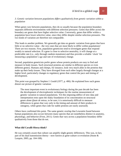#### *3. Genetic variation between populations differs qualitatively from genetic variation within a population*

When genes vary between populations, they do so usually because the population boundary separates different environments with different selection pressures. Genes that differ across the boundary are genes that have higher selective value. Conversely, genes that differ within a population have lower selective value, since they differ despite similar selection pressures. The two kinds of variation are therefore not comparable.

This leads to another problem. We generally get data on genetic variation from genes that have little or no selective value—the very ones that are most likely to differ within populations! There are two reasons. First, population geneticists tend to investigate genes that respond weakly to natural selection. If a gene is close to selective neutrality, it will change at a predictable rate (i.e., only through random mutations) and thus provide a reliable 'clock' for measuring a population's age and rate of evolutionary change.

Second, population geneticists prefer genes whose protein products are easy to find and measure in body tissues. Such structural proteins are similar in different species or even different genera. Humans and chimps, for instance, look very much alike in the proteins that make up their body tissues. They have diverged from each other largely through changes at a higher level, particularly changes to regulatory genes that control the pace and timing of development.

This point was grasped by Stephen J. Gould (1977, p. 406). He explained how such genes distort our picture of genetic variation:

The most important event in evolutionary biology during the past decade has been the development of electrophoretic techniques for the routine measurement of genetic variation in natural populations. Yet this imposing edifice of new data and interpretation rests upon the shaky foundation of its concentration on structural genes alone (*faute de mieux*, to be sure; it is notoriously difficult to measure differences in genes that vary only in the timing and amount of their products in ontogeny, while genes that code for stable proteins are easily assessed).

Others have confirmed this point. The same genetic overlap that Lewontin found between human populations also occurs between many species that are nonetheless distinct in anatomy, physiology, and behavior (Frost, 2011). Genes that vary across a population boundary differ qualitatively from those that do not.

#### **What did Cavalli-Sforza think?**

He was certainly aware that culture can amplify slight genetic differences. This was, in fact, part of his dual transmission theory—now known as gene-culture co-evolution (Stone & Lurquin, 2005, pp. 104-108).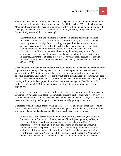He had also been aware since the mid-1960s that the genetic overlap among human populations is a function of the number of genes under study. In addition to his 1997 article with Joanna Mountain, this principle has been implicit in most of his work on human populations. Indeed, when questioned about Edwards' criticism of Lewontin (Edwards, 2003; Khan, 2006a), he diplomatically answered that both were right:

Edwards and Lewontin are both right. Lewontin said that the between populations fraction of variance is very small in humans, and this is true, as it should be on the basis of present knowledge from archeology and genetics alike, that the human species is very young. It has in fact been shown later that it is one of the smallest among mammals. Lewontin probably hoped, for political reasons, that it is TRIVIALLY small, and he has never shown to my knowledge any interest for evolutionary trees, at least of humans, so he did not care about their reconstruction. In essence, Edwards has objected that it is NOT trivially small, because it is enough for reconstructing the tree of human evolution, as we did, and he is obviously right. (Khan, 2006b)

What about the third counter-argument? Was Cavalli-Sforza aware that genetic variation within populations is not comparable to genetic variation between populations? We see some awareness in his 1971 textbook, where he argues that most polymorphic genes have little selective advantage. Only in two cases are they subject to strong selection pressures. One case involves balanced polymorphisms. The other involves transient polymorphisms—genes quickly moving to fixation in those populations where they are advantageous (Cavalli-Sforza & Bodmer, 1971, pp. 732-735). Such genes are more likely to vary between than within populations.

So perhaps he was aware. Or perhaps not. Even less clear is the reason for his long silence on Lewontin's 1972 paper. This paper was in Cavalli-Sforza's field of study and was widely commented on by other human geneticists. He could have explained its flaws, yet he preferred to remain silent during the long period when it was steadily gaining acceptance.

One reason was his tenuous professorship at Stanford. It was this position that had propelled him to academic stardom, and he may have decided against rocking the boat, at least until he got tenure. His pragmatism is recounted by former colleague Anthony Edwards:

When in the 1960s I started working on the problem of reconstructing the course of human evolution from data on the frequencies of blood-group genes my colleague Luca Cavalli-Sforza and I sometimes unconsciously used the word 'race' interchangeably with 'population' in our publications. In one popular account, I wrote naturally of 'the present races of man'. Quite recently I quoted the passage in an Italian publication, so it needed translating. Sensitive to the modern misgivings over the use of the word 'race', Cavalli-Sforza suggested I change it to 'population'. At first I was reluctant to do so on the grounds that quotations should be accurate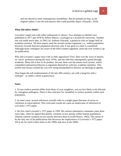and not altered to meet contemporary sensibilities. But he pointed out that, as the original author, I was the only person who could possibly object. (Sesardic, 2010)

#### **What did others think?**

Lewontin's paper met with either enthusiasm or silence. Two attempts at rebuttal were published in 1977 and 1978 by Jeffrey Mitton, a zoologist at a second-tier university. Another one was made much later, in 2003, by Anthony Edwards, a geneticist who no longer held an academic position. All three papers used the second counter-argument, i.e., within-population diversity exceeds between-population diversity only if one gene at a time is considered. Although many zoologists are aware of the third counter-argument, none has ever written it up for publication.

Why did Lewontin's paper meet with so little opposition? First, there was the wave of attacks on 'racist' professors during the early 1970s, and the chill that subsequently spread through academia. Many felt it best to be prudent. Second, there was the tenure-track system, which compelled untenured professors to ingratiate themselves with key academic members. This system had always existed but was now being manipulated to advance an ideological agenda.

Thus began the soft totalitarianism of the late 20th century, not with a bang but with a whimper—or rather a silent acquiescence.

#### **Notes**

1. If your surface proteins differ from those of your neighbors, you are less likely to be infected by contagious pathogens. There is thus selection for variability in surface proteins within each population.

2. In some cases, several references actually refer to a single paper (because of errors or variations in transcription). This overcount would not cause an undercount of references to Lewontin's 1972 paper.

3. He first cited Lewontin's 1972 paper in 1990. His earliest substantive comments came three years later, when he argued that genetic variation occurs mainly within human populations whereas cultural variation occurs mainly between them (Cavalli-Sforza, 1993). This seems to be the only one of his publications that discusses the implications of Lewontin's 1972 paper. All in all, he cited it three times in the 1990s and once in the 2000s.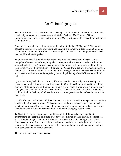## An ill-fated project

The 1970s brought L.L. Cavalli-Sforza to the height of his career. His meteoric rise was made possible by two textbooks co-authored with Walter Bodmer: *The Genetics of Human Populations* (1971) and *Genetics, Evolution, and Man* (1976), as well as several joint articles in leading journals.

Nonetheless, he ended his collaboration with Bodmer in the late 1970s.<sup>1</sup> Why? No answer appears in his autobiography or in Stone and Lurquin's biography. In fact, the autobiography has only three mentions of Bodmer. Two are single sentences. The one lengthy mention seems to damn him with faint praise.<sup>2</sup>

To understand how this collaboration ended, one must understand how it began … in a triangular relationship that brought together not only Cavalli-Sforza and Walter Bodmer but also Joshua Lederberg, Stanford's leading geneticist. It was the latter who helped him during the postwar years, who invited him to Stanford in 1968, and who got him a permanent position there in 1972. It was also Lederberg and one of his protégés, Bodmer, who showed him the ins and outs of American academia, especially textbook publishing. Cavalli-Sforza naturally felt indebted.

By the late 1970s, he had a long list of publications and felt reasonably secure. Perhaps he began to feel hindered by his academic partnership. Or perhaps Bodmer seemed to be taking more out of it than he was putting in. One thing is clear. Cavalli-Sforza was planning to study how genes have evolved in our species under the influence of history and culture. Such plans could not include Bodmer, who knew little about human genetics and even less about the other two fields.

Cavalli-Sforza wanted to bring all three elements together to show that our species has a unique relationship with its environment. This point was already being made as an argument against genetic determinism. Humans reshape their environment, making it adapt to them much more than the reverse. It is the environment that has done the changing, not the genes.

To Cavalli-Sforza, this argument seemed incomplete. If humans have reshaped their environment, this adaptive landscape must now be dominated by their cultural creations: oral and written language, social organization, means of subsistence, technology, and so forth. Humans adapt primarily to their cultural environment and only secondarily to their natural environment. Thus, genetic change must be driven primarily by cultural change. In short, we have been created by our own creations.

This in turn leads to two conclusions: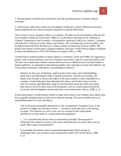1. Human genetic evolution has accelerated with the quickening pace of human cultural evolution.

2. Each human culture has created its own adaptive landscape. Genetic differences between human populations have been primarily responses to cultural differences.

This is what we now call gene-culture co-evolution. The idea can be traced back to Darwin but was formally worked out in the early 1980s by Cavalli-Sforza and Marcus W. Feldman in *Cultural Transmission and Evolution: A Quantitative Approach* (1981), by Charles J. Lumsden and Edward O. Wilson in *Genes, Mind, and Culture. The coevolutionary process* (1981), and by Robert Boyd and Peter Richerson in *Culture and the Evolutionary Process* (1985). The ground zero seems to have been a cultural evolution class that Cavalli-Sforza taught at Stanford to Boyd and Richerson in 1978-1979 (Stone & Lurquin, 2005, p. 108).

Cavalli-Sforza wanted evidence of gene-culture co-evolution. In the mid-1980s, he organized a project with several professors from two Canadian universities: Queen's and Université Laval.<sup>3</sup> The aim was to determine whether natural selection favors a different sort of mental toolkit in hunter-gatherers, as compared to agricultural peoples. This rationale was later described by one of his project associates, John Berry, a psychologist at Queen's:

Hunters, by this way of thinking, require good visual acuity, keen disembedding skills and a well-developed sense of spatial orientation. To hunt successfully, the hunter must be able to discern the object of the quest (which is often embedded in a complex visual landscape), then disembed the object, and finally return to home base. In contrast, agriculturalists need not develop these particular skills, but rather they need to invest in other areas of development, such as conservation (in both the economic and the Piagetian senses) and close social interactions. (Berry, 2008, p. 3)

In this joint project, Cavalli-Sforza wished to study Inuit artists to see whether their talent came from a genetic predisposition or from socio-cultural learning. This aim is spelled out in an unpublished report he wrote with Berry:

One of the most remarkable phenomena in the contemporary Canadian Arctic is the presence of highly-acclaimed art forms — carving in stone and ivory, and printing on paper. The question we ask is: how can we account for the wide-spread distribution of such talent in a small dispersed population?

[...] Is it possible that artistic talent is transmitted culturally (from parents to offspring, from others in society to the artist, and from peers to artist)? How can we assess these types of transmission?

Is it possible that artistic talent is transmitted genetically (from parents to offspring)? How can we assess such transmission? (Berry & Cavalli-Sforza, 1986, p. 2)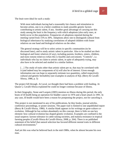The Inuit were ideal for such a study:

With most individuals having had a reasonably fair chance and stimulation to become artists, one is in a better condition to study possible genetic factors contributing to artistic talent, if any. Another great advantage of carrying out this study among the Inuit is the frequency with which adoptions (also early ones, at birth) occur in this population. Frequencies of adoptions reported during the meeting varied from 15% to 30%. Adoptions allow one to distinguish cultural from biological inheritance by studying correlations of adopted children with foster relatives on one hand and biological relatives on the other.

The general strategy will be to select artists in specific communities (to be discussed later), and to study artistic talent in particular. Also to be studied are their biological and foster relatives (if any), including parents, brothers, sisters, children, and more remote relatives (when this is feasible and convenient). "Controls", i.e. individuals who lay no claim to artistic talent, in spite of adequately trying, may also have to be selected and studied in a similar fashion.

[...] The study of traits other than artistic talent per se, that may be correlated with it (and indeed may be components of it) will also be of interest. Given enough information one can hope to separately estimate two quantities, called respectively cultural and genetic heritability (see examples in analysis of IQ). (Berry & Cavalli-Sforza, 1986, p. 5)

The project fell through. At Laval, we thought there had been a problem with funding. At Queen's, Cavalli-Sforza explained he could no longer continue because of illness.

In their biography, Stone and Lurquin (2005) mention no illness during this period, the only bouts of ill health being an operation for bladder cancer in 1976 and a heart attack in 1991. In any case, ill health would have been a reason for postponing the project, not for canceling it.

This project is not mentioned in any of his publications, be they books, journal articles, conference proceedings, or poster sessions. The paper trail is limited to one unpublished report (Berry & Cavalli-Sforza, 1986). A similar blank appears in his writings on gene-culture coevolution. Although he has written abundantly on this concept, there is little on one key element: how cultural evolution has shaped genetic evolution. Examples are confined to the usual suspects: lactose tolerance in cattle-raising societies, and malaria resistance in tropical farming peoples (Cavalli-Sforza & Cavalli-Sforza, 2008, p. 264). There is no published statement of his belief that natural selection has favored different mental traits in different cultural environments.<sup>4</sup>

And yet this was what he believed back in the mid-1980s, when he almost became his own man.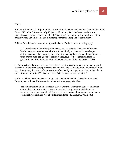1. *Google Scholar* lists 26 joint publications by Cavalli-Sforza and Bodmer from 1970 to 1976. From 1977 to 2010, there are only 10 joint publications, 6 of which are re-editions or translations of textbooks from the 1970-1976 period. The remaining 4 are multiple-author articles where Cavalli-Sforza and Bodmer appear amid a long list of contributors.

2. Does Cavalli-Sforza make an oblique criticism of Bodmer in his autobiography?

[...] unfortunately, [ambition] often makes you lose sight of the essential virtues, like honesty, moderation, and altruism. It can blind you. Some of my colleagues distinguish themselves more by their ambition than by their genius. I know others these are the most dangerous or the most ridiculous—whose ambition is much greater than their intelligence. (Cavalli-Sforza & Cavalli-Sforza, 2008, p. 303)

3. This was the only time I met him. He sat in on my thesis committee and looked on goodnaturedly. Of the three other professors present, only one seemed to know how important he was. Afterwards, that one professor was dumbfounded by our ignorance: "You think Claude Lévi-Strauss is important? This man is the Lévi-Strauss of human genetics!"

4. Cavalli-Sforza has denied ever having such a belief. When interviewed by Stone and Lurquin, he attributed his interest in culture to the very opposite idea:

Yet another source of his interest in culture was the idea that the concept of human cultural learning was a valid weapon against racist arguments that differences between people (for example, different IQ scores among ethnic groups) were due to biologically determined "racial" differences. (Stone & Lurquin, 2005, p. 86)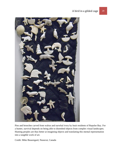

Pins and brooches carved from walrus and narwhal ivory by Inuit residents of Repulse Bay. For a hunter, survival depends on being able to disembed objects from complex visual landscapes. Hunting peoples are thus better at imagining objects and translating this mental representation into a tangible work of art.

Credit: Mike Beauregard, Nunavut, Canada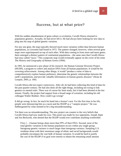## Success, but at what price?

With his sudden abandonment of gene-culture co-evolution, Cavalli-Sforza returned to population genetics. Actually, he had never left it. He had always been looking for new data to plug into his map of global genetic variation.

For any one gene, the map typically showed much more variation within than between human populations, as Lewontin had found in 1972. The pattern changed, however, when several gene maps were superimposed on top of each other. With data coming in from more and more genes, there emerged a distinct pattern of continental populations—the same ones that Cavalli-Sforza had once called "races." This composite map would eventually appear on the cover of his tome *The History and Geography of Human Genes* (1994).

In 1991, he announced a new phase of his research: the Human Genome Diversity Project (HGDP), a program to collect and analyze DNA from all human populations. It would be his crowning achievement. Among other things, it would "produce a mine of data to comprehensively explore human prehistory, determine the genetic relationships between the earth's populations, and provide valuable information on human genetic diseases" (Stone & Lurquin, 2005, p. 160).

Cavalli-Sforza did not expect controversy. After all, he had been collecting this kind of data for the past quarter-century. He had also done all the right things, including not trying to link genetics to mental traits. There was of course his Inuit study, but it had been aborted at the last minute. Finally, the project had support from a broad range of scientists, including his old colleague Walter Bodmer. How could it go wrong?

It did go wrong. In fact, he stuck his hand into a hornet's nest. For the first time in his life, people were denouncing him as a racist and the HGDP as a "vampire project." He was flabbergasted by what seemed to be a big misunderstanding.

Yet there was no misunderstanding. The new project ran counter to the very beliefs that Cavalli-Sforza had now made his own. This point was made by two opponents, Joseph Alper and Jon Beckwith, who denied that the HGDP would ever contribute anything worthwhile:

First, […] human beings share more than 99% of their DNA. Second, most of the total genetic variation in the human population occurs within any single group. Intragroup genetic variance is much larger than intergroup variance. Sampling U.S. residents alone with their enormous range of ethnic and racial backgrounds would probably encompass the vast bulk of human variation. It would be hard to justify the cost of the HGDP if its goal were merely to obtain the remaining small amount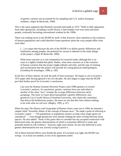of genetic variance not accounted for by sampling only U.S. and/or European residents. (Alper & Beckwith, 1999)

This is the same argument that Richard Lewontin had made in 1972.<sup>1</sup> With so little opposition from other geneticists, including Cavalli-Sforza, it had steadily won over more and more people, eventually becoming conventional wisdom by the 1990s.

There was nothing racist in the HGDP by itself. It did, however, draw attention to the existence of human populations and could therefore frame questions about the ways people differ from each other:

[...] we argue that because the aim of the HGDP is to define genetic differences and similarities among peoples, the potential for racism is inherent in the study design of the project. (Alper & Beckwith, 1999)

What most concerns us is not competition for research funds, although this is an issue in a lightly funded discipline. Rather, what most concerns us is the construct of human variation that the project might embody and reify, and the type of training and socialization that the project will provide for young physical anthropologists. (Goodman & Armelagos, 1996, p. 182)

In the face of these attacks, he took the path of least resistance. He began to cite Lewontin's 1972 paper after having ignored it for two decades. He also began to argue that the HGDP provided further proof for Lewontin's conclusions:

Last year the Human Genome Diversity Project used 1990s genetics to extend Lewontin's analysis. Its conclusion: genetic variation from one individual to another of the same "race" swamps the average differences between racial groupings. The more we learn about humankind's genetic differences, says geneticist Luca Cavalli-Sforza of Stanford University, who chairs the committee that directs the biodiversity project, the more we see that they have almost nothing to do with what we call race. (Begley, 1995, p. 67)

When his opus *The History and Geography of Human Genes* came out in 1994, he inserted a chapter titled "Scientific failure of the concept of human races." He made a point of referring to Lewontin's paper — "All populations or population clusters overlap when single genes are considered" — even though geneticists were already finding the same overlap between many species. He also added: "None of the genes that we consider has any accepted connection with behavioral traits, the genetic determination of which is extremely difficult to study and presently based on soft evidence." Scarcely eight years before, he not only believed in such genetic determination but was actively trying to prove it.

All of these frenzied efforts were beside the point. If Lewontin was right, the HGDP was wrong—or at least not needed, as two of its opponents noted: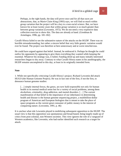Perhaps, in the right hands, the data will prove once and for all that races are abstractions, that, as Marie-Claire King (1993) says, we will find so much within group variation that the project will be a key to a non-racial science. But, we have known for at least twenty years that within group variation is so much greater than between group variation (Lewontin, 1972). We do not need a very expensive data collection exercise to show this. The data are already at hand. (Goodman & Armelagos, 1996, pp. 181-182)

Cavalli-Sforza failed to see the substantive nature of the attacks on the HGDP. There was no horrible misunderstanding, but rather a sincere belief that very little genetic variation would ever be found. The project was therefore at best unnecessary and at worst mischievous.

He could have argued against that belief. Instead, he embraced it. Perhaps he thought he could outfox his opponents by appearing to give them everything they wanted while keeping the essential. Whatever his strategy was, it failed. Funding dried up and many initially interested researchers began to shy away. Contrary to what Cavalli-Sforza states in his autobiography, the HGDP remains uncompleted to this day, at least in its originally intended form.

#### **Note**

1. While not specifically criticizing Cavalli-Sforza's project, Richard Lewontin did attack HUGO (the Human Genome Project). He was in fact one of the first, if not the first, to denounce human genome studies:

[...] simple internal forces, the genes, are now held responsible not only for human health in its normal medical sense but for a variety of social problems, among them alcoholism, criminality, drug addiction, and mental disorders. […] The current manifestation of that belief in the importance of our inheritance in determining health and disease is the human genome sequencing project, a multibillion-dollar program of American and European biologists that is meant to take the place of space programs as the current great consumer of public money in the interest of conquering nature. (Lewontin, 1991, p. 46)

It is unclear what role Lewontin played in mobilizing subsequent opposition to the HGDP. The usual view is that this opposition was spontaneous and broad-based, being largely made up of critics from post-colonial, non-Western societies. This view ignores the role of a vanguard of Western academics, like Lewontin, who had earlier identified such research as a target for attack.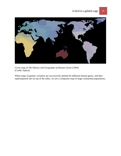

Cover map of *The History and Geography of Human Genes* (1994) (Credit: Ephert)

When maps of genetic variation are successively plotted for different human genes, and then superimposed one on top of the other, we see a composite map of large continental populations.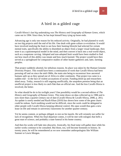## A bird in a gilded cage

Cavalli-Sforza's last big undertaking was *The History and Geography of Human Genes*, which came out in 1994. Since then, he has kept himself busy tying up loose ends.

Advancing age is only one reason for his reduced activity. Originally, he had planned to work on two big projects until the end of his life. One dealt with gene-culture co-evolution. It would have involved studying the Inuit to see how their hunting lifestyle had selected for certain mental traits, specifically the ability to disembed an object from a larger visual landscape, then store it as a spatiotemporal model in the mind, and then convert it back into a real-world object, such as a soapstone carving. Adopted and non-adopted Inuit would have been studied to find out how much of this ability was innate and how much learned. The project would have then served as a springboard for comparative studies of other hunter-gatherers and, later, farming peoples.

That project suddenly aborted, for nebulous reasons. Its place was taken by the Human Genome Diversity Project. This would have been a continuation of work that Cavalli-Sforza had been pursuing off and on since the mid-1960s, the main aim being to reconstruct how ancestral humans split up as they spread out of Africa to other continents. That project too came to a sudden end—in the face of violent accusations of racism. Funding dried up and researchers shied away. Today, research is still ongoing unofficially, the unspoken premise being that an unofficial project is less likely to catch flak than an official one. And the less Cavalli-Sforza is involved, the better.

So what should he do in his twilight years? One possibility would be a second edition of *The History and Geography of Human Genes*. This tome draws on data collected up to 1986 and is now more than a quarter-century out of date (Cavalli-Sforza & Cavalli-Sforza, 2008, p. 281). An update is sorely needed and Razib Khan (2010) has shown how some of the gene charts could be redone. Such reediting would not be difficult, since the work could be delegated to other people with Cavalli-Sforza keeping editorial control. His opus would thus gain a new lease on life and remain in university classrooms for another quarter-century.

Yet he seems content, or perhaps obliged, to rest on his laurels. He will certainly not suffer for lack of recognition. When his final departure comes, it will be met with eulogies that befit a great man of science, and probably a state funeral in his home country.

And then his works will fade into obscurity. Ironically, his final tome will gather dust while his earlier works continue to be consulted. But those, too, will become footnotes to history. In twenty years, he will be remembered as we now remember anthropologists like William Sumner or Lewis Morgan.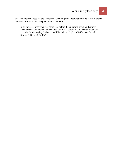But who knows? These are the shadows of what might be, not what must be. Cavalli-Sforza may still surprise us. Let me give him the last word:

In all the cases where we feel powerless before the unknown, we should simply keep our eyes wide open and face the situation, if possible, with a certain fatalism, as befits the old saying, "whoever will live will see." (Cavalli-Sforza & Cavalli-Sforza, 2008, pp. 326-327)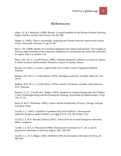## References

Alper, J.S. & J. Beckwith. (1999). Racism: A central problem for the Human Genome Diversity Project, *Politics and the Life Sciences*, *18*, 285-288.

Begley, S. (1995). Three is not enough. Surprising new lessons from the controversial science of race, *Newsweek*, February 13, pp. 67-69.

Berry, J.W. (2008). Models of ecocultural adaptation and cultural transmission: The example of Inuit art, paper presented at the conference *Adaptation et socialisation des minoritiés culturelles en région*, June 3-4, Quebec City.

Berry, J.W., & L.L. Cavalli-Sforza. (1986). *Cultural and genetic influences on Inuit art*, Report to Social Sciences and Humanities Research Council of Canada, Ottawa.

Biasutti, R. (1941). *Le razze e i popoli della terra*, Torino: Unione Tipografico/Editrice Torinese

Bodmer, W.F. & L.L. Cavalli-Sforza. (1970). Intelligence and race, *Scientific American*, *223*, 19-29.

Bodmer, W.R. & L.L. Cavalli-Sforza. (1976). *Genetics, Evolution, and Man*, San Francisco: W.H. Freeman.

Bonezzi, G, L.L. Cavalli, & G. Magni. (1943). Quantitative Untersuchungen uber die Virulenz. I. Eine Virulenzgleichung und ihre biologische Deutung, *Zentralblatt für Bakteriologie, I Orig*, *150*, 17–25.

Boyd, R. & P.J. Richerson. (1985). *Culture and the Evolutionary Process*, Chicago: Chicago University Press.

Cavalli, L.L. (1945). Contributo al problema del nucleo batterico. Osservazione supermicroscopica e analisi biofisica con raggi X in B. coli, *Atti Ist Bot. Univ*.

Cavalli, L.L. & A. Buzzati-Traverso (1947). *Teoria dell'urto ed unità biologiche elementari*, Milan, Longanesi.

Cavalli, L.L. & G.A. Maccacaro (1950). Chloromycetin resistance in E. coli, a case of quantitative inheritance in bacteria, *Nature*, *4232*, 991-992.

Cavalli, L.L., & G. Magni. (1942). *Bollettino della Societa medico-chirurgica di Pavia*, *20*, 609–624.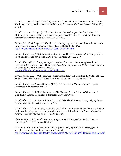Cavalli, L.L., & G. Magni. (1943a). Quantitative Untersuchungen uber die Virulenz. I. Eine Virulenzgleichung und ihre biologische Deutung, *Zentralblatt für Bakteriologie*, *I Orig*, *150*, 25–32.

Cavalli, L.L., & G. Magni. (1943b). Quantitative Untersuchungen uber die Virulenz. III. Mitteilung: Analyse der Haufigkeitsverteilung der Absterbezeiten von infizierten Mausen, *Zentralblatt für Bakteriologie*, *I Orig*, *150*, 353–371.

Cavalli, L. L., & G. Magni. (1947). Methods of analysing the virulence of bacteria and viruses for genetical purposes, *Heredity*, *1*, 127–132; doi:10.1038/hdy.1947.8 <http://www.nature.com/hdy/journal/v1/n1/abs/hdy19478a.html>

Cavalli-Sforza, L.L. (1966). Population Structure and Human Evolution, *Proceedings of the Royal Society of London. Series B, Biological Sciences*, *164*, 362-379.

Cavalli-Sforza (1992). Forty years ago in genetics: The unorthodox mating behavior of bacteria, in J.F. Crow and W.F. Dove (eds). *Anecdotal, Historical and Critical Commentaries on Genetics*, Genetics Society of America. [http://profiles.nlm.nih.gov/BB/B/C/C/Z/\\_/bbbccz.ocr](http://profiles.nlm.nih.gov/BB/B/C/C/Z/_/bbbccz.ocr)

Cavalli-Sforza, L.L. (1993). "How are values transmitted?" in M. Hechter, L. Nadel, and R.E. Michod (eds). *The Origin of Values*, New York: Aldine de Gruyter, pp. 305-317.

Cavalli-Sforza, L.L. & W.F. Bodmer. (1971). *The Genetics of Human Populations*, San Francisco: W.H. Freeman and Co.

Cavalli-Sforza, L.L. & M.W. Feldman. (1981). *Cultural Transmission and Evolution: A Quantitative Approach*, Princeton: Princeton University Press.

Cavalli-Sforza, L.L., P. Menozzi, & A. Piazzi. (1994). *The History and Geography of Human Genes*, Princeton: Princeton University Press.

Cavalli-Sforza, L.L., A. Piazza, P. Menozzi, & J. Mountain. (1988). Reconstruction of human evolution: Bringing together genetic, archaeological, and linguistic data, *Proceedings of the National Academy of Sciences USA*, *85*, 6002-6006.

Clark, G. (2007). *A Farewell to Alms. A Brief Economic History of the World*, Princeton University Press, Princeton and Oxford.

Clark, G. (2009). The indicted and the wealthy: surnames, reproductive success, genetic selection and social class in pre-industrial England, <http://www.econ.ucdavis.edu/faculty/gclark/Farewell%20to%20Alms/Clark%20-Surnames.pdf>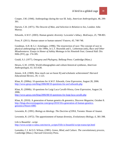Cooper, J.M. (1946). Anthropology during the war III. Italy, *American Anthropologist*, 48, 299- 301.

Darwin, C.R. (1871). *The Descent of Man, and Selection in Relation to Sex*, London: John Murray.

Edwards, A.W.F. (2003). Human genetic diversity: Lewontin's fallacy. *BioEssays*, *25*, 798-801.

Frost, P. (2011). Human nature or human natures? *Futures*, *43*, 740-748.

Goodman, A.H. & G.J. Armelagos. (1996). The resurrection of race: The concept of race in physical anthropology in the 1990s, in L.T. Reynolds and L. Lieberman (eds), *Race and Other Misadventures: Essays in Honor of Ashley Montagu in his Ninetieth Year*, General Hall: Dix Hills (NY), pp. 174-185.

Gould, S.J. (1977). *Ontogeny and Phylogeny*, Belknap Press: Cambridge (Mass.)

Hewes, G.W. (1959). World ethnographies and culture-historical syntheses, *American Anthropologist*, *61*, 615-630.

Jensen, A.R. (1969). How much can we boost IQ and scholastic achievement? *Harvard Educational Review*, *39*, 1-123.

Khan, R. (2006a). 10 questions for A.W.F. Edwards, *Gene Expression*, August 28, 2006. <http://www.gnxp.com/blog/2006/08/10-questions-for-awf-edwards.php>

Khan, R. (2006b). 10 questions for Luigi Luca Cavalli-Sforza, *Gene Expression*, August 24, 2006.

<http://www.gnxp.com/blog/2006/08/10-questions-for-luigi-luca-cavalli.php>

Khan, R. (2010). A generation of human genetics & genomics, Discover *Magazine*, October 8. [http://blogs.discovermagazine.com/gnxp/2010/10/a-generation-of-human-genetics](http://blogs.discovermagazine.com/gnxp/2010/10/a-generation-of-human-genetics-genomics/#more-6985)[genomics/#more-6985](http://blogs.discovermagazine.com/gnxp/2010/10/a-generation-of-human-genetics-genomics/#more-6985)

Lewontin, R. (1991). *Biology as Ideology. The Doctrine of DNA*, Toronto: House of Anansi.

Lewontin, R. (1972). The apportionment of human diversity, *Evolutionary Biology*, *6*, 381-398.

Life is Beautiful - script [http://www.script-o-rama.com/movie\\_scripts/l/life-is-beautiful-script-transcript.html](http://www.script-o-rama.com/movie_scripts/l/life-is-beautiful-script-transcript.html)

Lumsden, C.J. & E.O. Wilson. (1981). *Genes, Mind, and Culture. The coevolutionary process*, Cambridge (Mass.): Harvard University Press.